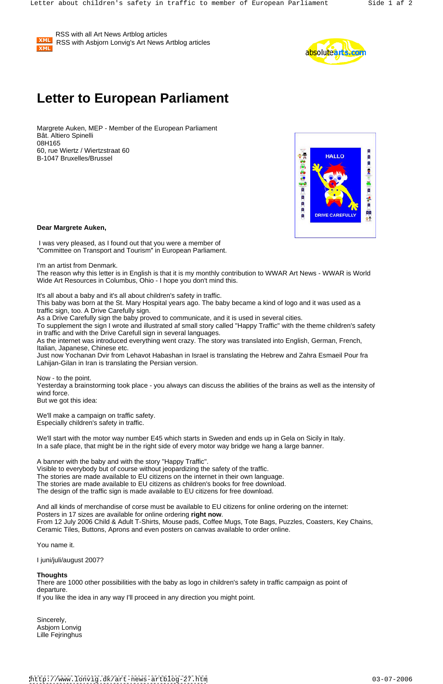

 RSS with all Art News Artblog articles RSS with Asbjorn Lonvig's Art News Artblog articles



## **Letter to European Parliament**

 I was very pleased, as I found out that you were a member of "Committee on Transport and Tourism" in European Parliament.

Margrete Auken, MEP - Member of the European Parliament Bât. Altiero Spinelli<br>08H165 08H165 60, rue Wiertz / Wiertzstraat 60<br>B 1047 Bruxelles (Bruses) B-1047 Bruxelles/Brussel



**Dear Margrete Auken,**

I'm an artist from Denmark.

The reason why this letter is in English is that it is my monthly contribution to WWAR Art News - WWAR is World Wide Art Resources in Columbus, Ohio - I hope you don't mind this.

It's all about a baby and it's all about children's safety in traffic.

Now - to the point. Yesterday a brainstorming took place - you always can discuss the abilities of the brains as well as the intensity of wind force. The contract of the contract of the contract of the contract of the contract of the contract of the contract of the contract of the contract of the contract of the contract of the contract of the contract of th

This baby was born at the St. Mary Hospital years ago. The baby became a kind of logo and it was used as a traffic sign, too. A Drive Carefully sign.

As a Drive Carefully sign the baby proved to communicate, and it is used in several cities.

To supplement the sign I wrote and illustrated af small story called "Happy Traffic" with the theme children's safety in traffic and with the Drive Carefull sign in several languages.

And all kinds of merchandise of corse must be available to EU citizens for online ordering on the internet: Posters in 17 sizes are available for online ordering **right now**.<br>From 12 July 2006 Child & Adult T-Shirts, Mouse pads, Coffee Mugs, Tote Bags, Puzzles, Coasters, Key Chains,

As the internet was introduced everything went crazy. The story was translated into English, German, French, Italian, Japanese, Chinese etc.

Just now Yochanan Dvir from Lehavot Habashan in Israel is translating the Hebrew and Zahra Esmaeil Pour fra Lahijan-Gilan in Iran is translating the Persian version.

There are 1000 other possibilities with the baby as logo in children's safety in traffic campaign as point of departure. The contract of the contract of the contract of the contract of the contract of the contract of the contract of the contract of the contract of the contract of the contract of the contract of the contract of the

Sincerely, Asbjorn Lonvig Lille Fejringhus

But we got this idea:

We'll make a campaign on traffic safety. Especially children's safety in traffic.

We'll start with the motor way number E45 which starts in Sweden and ends up in Gela on Sicily in Italy. In a safe place, that might be in the right side of every motor way bridge we hang a large banner.

A banner with the baby and with the story "Happy Traffic". Visible to everybody but of course without jeopardizing the safety of the traffic. The stories are made available to EU citizens on the internet in their own language. The stories are made available to EU citizens as children's books for free download. The design of the traffic sign is made available to EU citizens for free download.

Ceramic Tiles, Buttons, Aprons and even posters on canvas available to order online.

You name it.

I juni/juli/august 2007?

## **Thoughts**

If you like the idea in any way I'll proceed in any direction you might point.

<http://www.lonvig.dk/art-news-artblog-27.htm> 03-07-2006